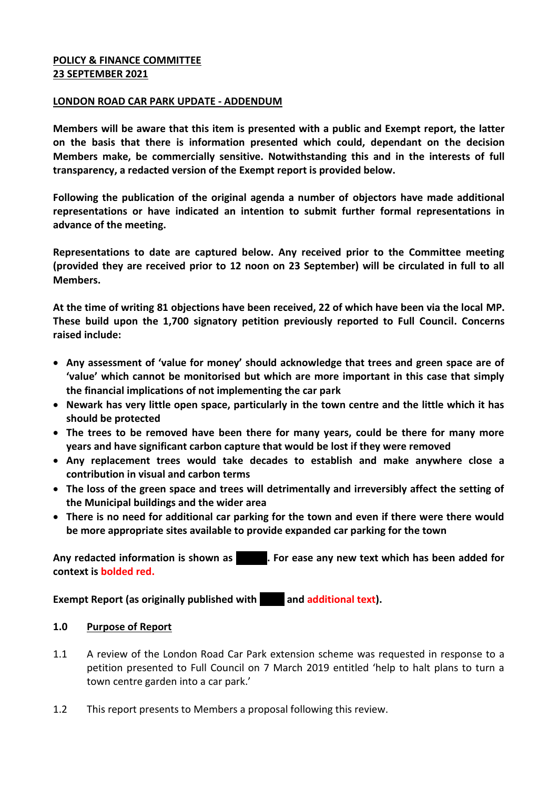### **POLICY & FINANCE COMMITTEE 23 SEPTEMBER 2021**

#### **LONDON ROAD CAR PARK UPDATE - ADDENDUM**

**Members will be aware that this item is presented with a public and Exempt report, the latter on the basis that there is information presented which could, dependant on the decision Members make, be commercially sensitive. Notwithstanding this and in the interests of full transparency, a redacted version of the Exempt report is provided below.** 

**Following the publication of the original agenda a number of objectors have made additional representations or have indicated an intention to submit further formal representations in advance of the meeting.** 

**Representations to date are captured below. Any received prior to the Committee meeting (provided they are received prior to 12 noon on 23 September) will be circulated in full to all Members.** 

**At the time of writing 81 objections have been received, 22 of which have been via the local MP. These build upon the 1,700 signatory petition previously reported to Full Council. Concerns raised include:**

- **Any assessment of 'value for money' should acknowledge that trees and green space are of 'value' which cannot be monitorised but which are more important in this case that simply the financial implications of not implementing the car park**
- **Newark has very little open space, particularly in the town centre and the little which it has should be protected**
- **The trees to be removed have been there for many years, could be there for many more years and have significant carbon capture that would be lost if they were removed**
- **Any replacement trees would take decades to establish and make anywhere close a contribution in visual and carbon terms**
- **The loss of the green space and trees will detrimentally and irreversibly affect the setting of the Municipal buildings and the wider area**
- **There is no need for additional car parking for the town and even if there were there would be more appropriate sites available to provide expanded car parking for the town**

Any redacted information is shown as **xxxxx.** For ease any new text which has been added for **context is bolded red.**

**Exempt Report (as originally published with and additional text).** 

#### **1.0 Purpose of Report**

- 1.1 A review of the London Road Car Park extension scheme was requested in response to a petition presented to Full Council on 7 March 2019 entitled 'help to halt plans to turn a town centre garden into a car park.'
- 1.2 This report presents to Members a proposal following this review.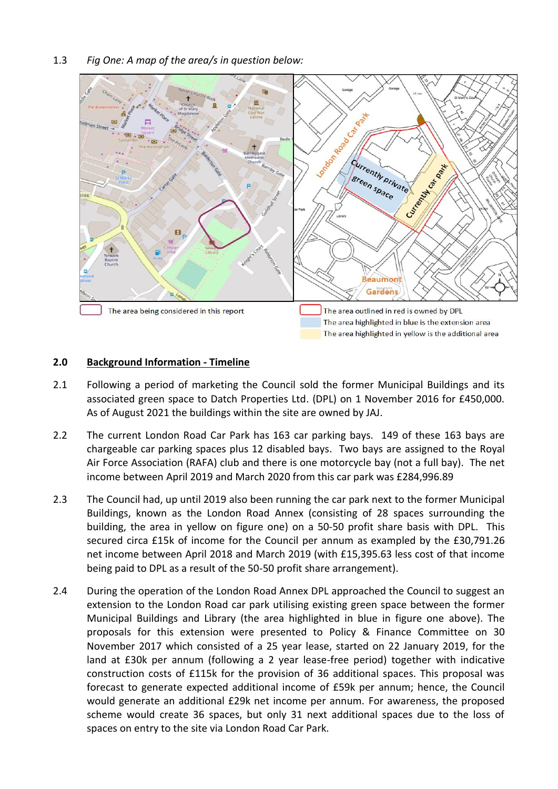

#### **2.0 Background Information - Timeline**

- 2.1 Following a period of marketing the Council sold the former Municipal Buildings and its associated green space to Datch Properties Ltd. (DPL) on 1 November 2016 for £450,000. As of August 2021 the buildings within the site are owned by JAJ.
- 2.2 The current London Road Car Park has 163 car parking bays. 149 of these 163 bays are chargeable car parking spaces plus 12 disabled bays. Two bays are assigned to the Royal Air Force Association (RAFA) club and there is one motorcycle bay (not a full bay). The net income between April 2019 and March 2020 from this car park was £284,996.89
- 2.3 The Council had, up until 2019 also been running the car park next to the former Municipal Buildings, known as the London Road Annex (consisting of 28 spaces surrounding the building, the area in yellow on figure one) on a 50-50 profit share basis with DPL. This secured circa £15k of income for the Council per annum as exampled by the £30,791.26 net income between April 2018 and March 2019 (with £15,395.63 less cost of that income being paid to DPL as a result of the 50-50 profit share arrangement).
- 2.4 During the operation of the London Road Annex DPL approached the Council to suggest an extension to the London Road car park utilising existing green space between the former Municipal Buildings and Library (the area highlighted in blue in figure one above). The proposals for this extension were presented to Policy & Finance Committee on 30 November 2017 which consisted of a 25 year lease, started on 22 January 2019, for the land at £30k per annum (following a 2 year lease-free period) together with indicative construction costs of £115k for the provision of 36 additional spaces. This proposal was forecast to generate expected additional income of £59k per annum; hence, the Council would generate an additional £29k net income per annum. For awareness, the proposed scheme would create 36 spaces, but only 31 next additional spaces due to the loss of spaces on entry to the site via London Road Car Park.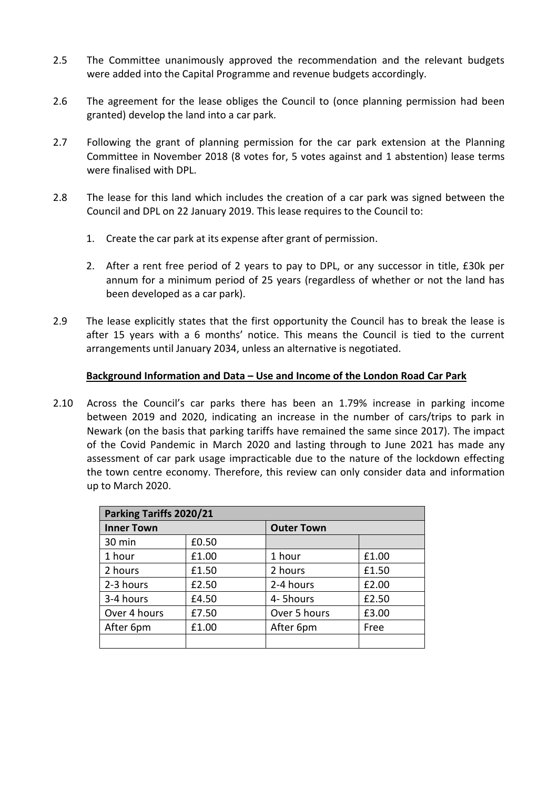- 2.5 The Committee unanimously approved the recommendation and the relevant budgets were added into the Capital Programme and revenue budgets accordingly.
- 2.6 The agreement for the lease obliges the Council to (once planning permission had been granted) develop the land into a car park.
- 2.7 Following the grant of planning permission for the car park extension at the Planning Committee in November 2018 (8 votes for, 5 votes against and 1 abstention) lease terms were finalised with DPL.
- 2.8 The lease for this land which includes the creation of a car park was signed between the Council and DPL on 22 January 2019. This lease requires to the Council to:
	- 1. Create the car park at its expense after grant of permission.
	- 2. After a rent free period of 2 years to pay to DPL, or any successor in title, £30k per annum for a minimum period of 25 years (regardless of whether or not the land has been developed as a car park).
- 2.9 The lease explicitly states that the first opportunity the Council has to break the lease is after 15 years with a 6 months' notice. This means the Council is tied to the current arrangements until January 2034, unless an alternative is negotiated.

### **Background Information and Data – Use and Income of the London Road Car Park**

2.10 Across the Council's car parks there has been an 1.79% increase in parking income between 2019 and 2020, indicating an increase in the number of cars/trips to park in Newark (on the basis that parking tariffs have remained the same since 2017). The impact of the Covid Pandemic in March 2020 and lasting through to June 2021 has made any assessment of car park usage impracticable due to the nature of the lockdown effecting the town centre economy. Therefore, this review can only consider data and information up to March 2020.

| Parking Tariffs 2020/21 |       |                   |       |  |  |
|-------------------------|-------|-------------------|-------|--|--|
| <b>Inner Town</b>       |       | <b>Outer Town</b> |       |  |  |
| 30 min                  | £0.50 |                   |       |  |  |
| 1 hour                  | £1.00 | 1 hour            | £1.00 |  |  |
| 2 hours                 | £1.50 | 2 hours           | £1.50 |  |  |
| 2-3 hours               | £2.50 | 2-4 hours         | £2.00 |  |  |
| 3-4 hours               | £4.50 | 4- 5hours         | £2.50 |  |  |
| Over 4 hours            | £7.50 | Over 5 hours      | £3.00 |  |  |
| After 6pm               | £1.00 | After 6pm         | Free  |  |  |
|                         |       |                   |       |  |  |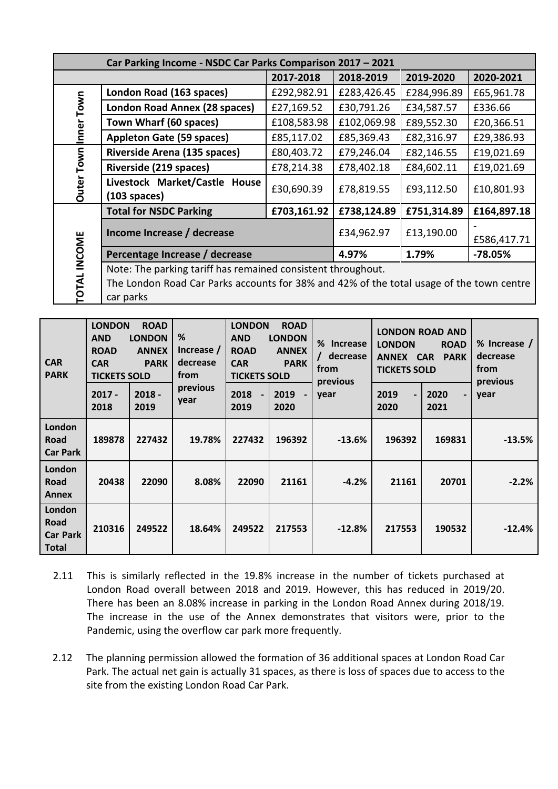| Car Parking Income - NSDC Car Parks Comparison 2017 - 2021 |                                                                                                                                                                       |             |             |             |             |  |
|------------------------------------------------------------|-----------------------------------------------------------------------------------------------------------------------------------------------------------------------|-------------|-------------|-------------|-------------|--|
|                                                            |                                                                                                                                                                       | 2017-2018   | 2018-2019   | 2019-2020   | 2020-2021   |  |
|                                                            | London Road (163 spaces)                                                                                                                                              | £292,982.91 | £283,426.45 | £284,996.89 | £65,961.78  |  |
|                                                            | London Road Annex (28 spaces)                                                                                                                                         | £27,169.52  | £30,791.26  | £34,587.57  | £336.66     |  |
| Inner Town                                                 | Town Wharf (60 spaces)                                                                                                                                                | £108,583.98 | £102,069.98 | £89,552.30  | £20,366.51  |  |
|                                                            | <b>Appleton Gate (59 spaces)</b><br>£85,117.02                                                                                                                        |             | £85,369.43  | £82,316.97  | £29,386.93  |  |
|                                                            | Riverside Arena (135 spaces)                                                                                                                                          | £80,403.72  | £79,246.04  | £82,146.55  | £19,021.69  |  |
| <b>Outer Town</b>                                          | Riverside (219 spaces)                                                                                                                                                | £78,214.38  | £78,402.18  | £84,602.11  | £19,021.69  |  |
|                                                            | Livestock Market/Castle House<br>$(103$ spaces)                                                                                                                       | £30,690.39  | £78,819.55  | £93,112.50  | £10,801.93  |  |
|                                                            | <b>Total for NSDC Parking</b>                                                                                                                                         | £703,161.92 | £738,124.89 | £751,314.89 | £164,897.18 |  |
|                                                            | Income Increase / decrease                                                                                                                                            | £34,962.97  | £13,190.00  | £586,417.71 |             |  |
|                                                            | Percentage Increase / decrease                                                                                                                                        | 4.97%       | 1.79%       | $-78.05%$   |             |  |
| <b>OTAL INCOME</b>                                         | Note: The parking tariff has remained consistent throughout.<br>The London Road Car Parks accounts for 38% and 42% of the total usage of the town centre<br>car parks |             |             |             |             |  |

| <b>CAR</b><br><b>PARK</b>                         | <b>LONDON</b><br><b>ROAD</b><br><b>LONDON</b><br><b>AND</b><br><b>ROAD</b><br><b>ANNEX</b><br><b>CAR</b><br><b>PARK</b><br><b>TICKETS SOLD</b> |                  | %<br>Increase /<br>decrease<br>from | <b>LONDON</b><br><b>ROAD</b><br><b>AND</b><br><b>LONDON</b><br><b>ROAD</b><br><b>ANNEX</b><br><b>CAR</b><br><b>PARK</b><br><b>TICKETS SOLD</b> |              | %<br><b>Increase</b><br>decrease<br>from<br>previous | <b>LONDON ROAD AND</b><br><b>LONDON</b><br><b>ROAD</b><br>ANNEX CAR<br><b>PARK</b><br><b>TICKETS SOLD</b> |                                          | % Increase /<br>decrease<br>from |
|---------------------------------------------------|------------------------------------------------------------------------------------------------------------------------------------------------|------------------|-------------------------------------|------------------------------------------------------------------------------------------------------------------------------------------------|--------------|------------------------------------------------------|-----------------------------------------------------------------------------------------------------------|------------------------------------------|----------------------------------|
|                                                   | $2017 -$<br>2018                                                                                                                               | $2018 -$<br>2019 | previous<br>year                    | 2018<br>$\blacksquare$<br>2019                                                                                                                 | 2019<br>2020 | year                                                 | 2019<br>$\overline{\phantom{0}}$<br>2020                                                                  | 2020<br>$\overline{\phantom{0}}$<br>2021 | previous<br>year                 |
| London<br>Road<br><b>Car Park</b>                 | 189878                                                                                                                                         | 227432           | 19.78%                              | 227432                                                                                                                                         | 196392       | $-13.6%$                                             | 196392                                                                                                    | 169831                                   | $-13.5%$                         |
| London<br>Road<br><b>Annex</b>                    | 20438                                                                                                                                          | 22090            | 8.08%                               | 22090                                                                                                                                          | 21161        | $-4.2%$                                              | 21161                                                                                                     | 20701                                    | $-2.2%$                          |
| London<br>Road<br><b>Car Park</b><br><b>Total</b> | 210316                                                                                                                                         | 249522           | 18.64%                              | 249522                                                                                                                                         | 217553       | $-12.8%$                                             | 217553                                                                                                    | 190532                                   | $-12.4%$                         |

- 2.11 This is similarly reflected in the 19.8% increase in the number of tickets purchased at London Road overall between 2018 and 2019. However, this has reduced in 2019/20. There has been an 8.08% increase in parking in the London Road Annex during 2018/19. The increase in the use of the Annex demonstrates that visitors were, prior to the Pandemic, using the overflow car park more frequently.
- 2.12 The planning permission allowed the formation of 36 additional spaces at London Road Car Park. The actual net gain is actually 31 spaces, as there is loss of spaces due to access to the site from the existing London Road Car Park.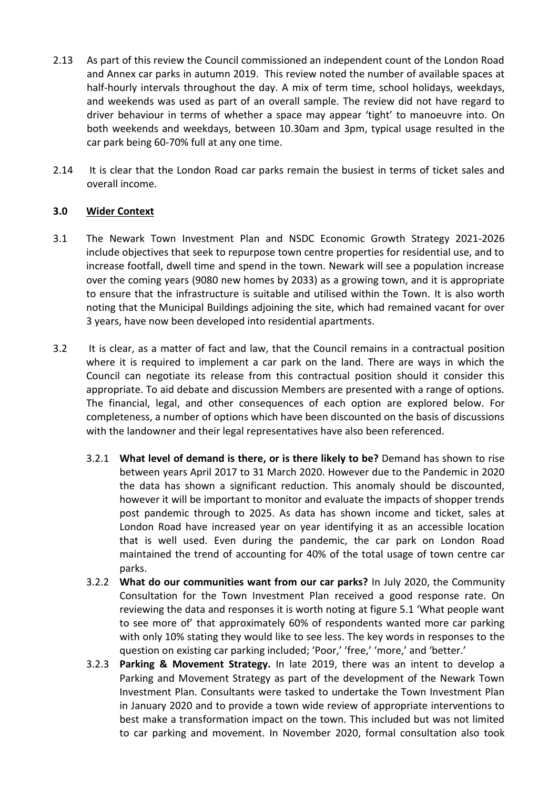- 2.13 As part of this review the Council commissioned an independent count of the London Road and Annex car parks in autumn 2019. This review noted the number of available spaces at half-hourly intervals throughout the day. A mix of term time, school holidays, weekdays, and weekends was used as part of an overall sample. The review did not have regard to driver behaviour in terms of whether a space may appear 'tight' to manoeuvre into. On both weekends and weekdays, between 10.30am and 3pm, typical usage resulted in the car park being 60-70% full at any one time.
- 2.14 It is clear that the London Road car parks remain the busiest in terms of ticket sales and overall income.

# **3.0 Wider Context**

- 3.1 The Newark Town Investment Plan and NSDC Economic Growth Strategy 2021-2026 include objectives that seek to repurpose town centre properties for residential use, and to increase footfall, dwell time and spend in the town. Newark will see a population increase over the coming years (9080 new homes by 2033) as a growing town, and it is appropriate to ensure that the infrastructure is suitable and utilised within the Town. It is also worth noting that the Municipal Buildings adjoining the site, which had remained vacant for over 3 years, have now been developed into residential apartments.
- 3.2 It is clear, as a matter of fact and law, that the Council remains in a contractual position where it is required to implement a car park on the land. There are ways in which the Council can negotiate its release from this contractual position should it consider this appropriate. To aid debate and discussion Members are presented with a range of options. The financial, legal, and other consequences of each option are explored below. For completeness, a number of options which have been discounted on the basis of discussions with the landowner and their legal representatives have also been referenced.
	- 3.2.1 **What level of demand is there, or is there likely to be?** Demand has shown to rise between years April 2017 to 31 March 2020. However due to the Pandemic in 2020 the data has shown a significant reduction. This anomaly should be discounted, however it will be important to monitor and evaluate the impacts of shopper trends post pandemic through to 2025. As data has shown income and ticket, sales at London Road have increased year on year identifying it as an accessible location that is well used. Even during the pandemic, the car park on London Road maintained the trend of accounting for 40% of the total usage of town centre car parks.
	- 3.2.2 **What do our communities want from our car parks?** In July 2020, the Community Consultation for the Town Investment Plan received a good response rate. On reviewing the data and responses it is worth noting at figure 5.1 'What people want to see more of' that approximately 60% of respondents wanted more car parking with only 10% stating they would like to see less. The key words in responses to the question on existing car parking included; 'Poor,' 'free,' 'more,' and 'better.'
	- 3.2.3 **Parking & Movement Strategy.** In late 2019, there was an intent to develop a Parking and Movement Strategy as part of the development of the Newark Town Investment Plan. Consultants were tasked to undertake the Town Investment Plan in January 2020 and to provide a town wide review of appropriate interventions to best make a transformation impact on the town. This included but was not limited to car parking and movement. In November 2020, formal consultation also took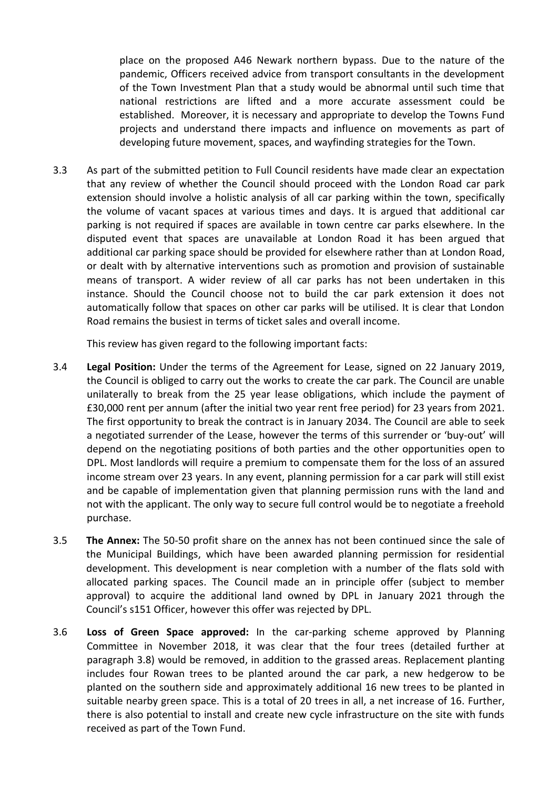place on the proposed A46 Newark northern bypass. Due to the nature of the pandemic, Officers received advice from transport consultants in the development of the Town Investment Plan that a study would be abnormal until such time that national restrictions are lifted and a more accurate assessment could be established. Moreover, it is necessary and appropriate to develop the Towns Fund projects and understand there impacts and influence on movements as part of developing future movement, spaces, and wayfinding strategies for the Town.

3.3 As part of the submitted petition to Full Council residents have made clear an expectation that any review of whether the Council should proceed with the London Road car park extension should involve a holistic analysis of all car parking within the town, specifically the volume of vacant spaces at various times and days. It is argued that additional car parking is not required if spaces are available in town centre car parks elsewhere. In the disputed event that spaces are unavailable at London Road it has been argued that additional car parking space should be provided for elsewhere rather than at London Road, or dealt with by alternative interventions such as promotion and provision of sustainable means of transport. A wider review of all car parks has not been undertaken in this instance. Should the Council choose not to build the car park extension it does not automatically follow that spaces on other car parks will be utilised. It is clear that London Road remains the busiest in terms of ticket sales and overall income.

This review has given regard to the following important facts:

- 3.4 **Legal Position:** Under the terms of the Agreement for Lease, signed on 22 January 2019, the Council is obliged to carry out the works to create the car park. The Council are unable unilaterally to break from the 25 year lease obligations, which include the payment of £30,000 rent per annum (after the initial two year rent free period) for 23 years from 2021. The first opportunity to break the contract is in January 2034. The Council are able to seek a negotiated surrender of the Lease, however the terms of this surrender or 'buy-out' will depend on the negotiating positions of both parties and the other opportunities open to DPL. Most landlords will require a premium to compensate them for the loss of an assured income stream over 23 years. In any event, planning permission for a car park will still exist and be capable of implementation given that planning permission runs with the land and not with the applicant. The only way to secure full control would be to negotiate a freehold purchase.
- 3.5 **The Annex:** The 50-50 profit share on the annex has not been continued since the sale of the Municipal Buildings, which have been awarded planning permission for residential development. This development is near completion with a number of the flats sold with allocated parking spaces. The Council made an in principle offer (subject to member approval) to acquire the additional land owned by DPL in January 2021 through the Council's s151 Officer, however this offer was rejected by DPL.
- 3.6 **Loss of Green Space approved:** In the car-parking scheme approved by Planning Committee in November 2018, it was clear that the four trees (detailed further at paragraph 3.8) would be removed, in addition to the grassed areas. Replacement planting includes four Rowan trees to be planted around the car park, a new hedgerow to be planted on the southern side and approximately additional 16 new trees to be planted in suitable nearby green space. This is a total of 20 trees in all, a net increase of 16. Further, there is also potential to install and create new cycle infrastructure on the site with funds received as part of the Town Fund.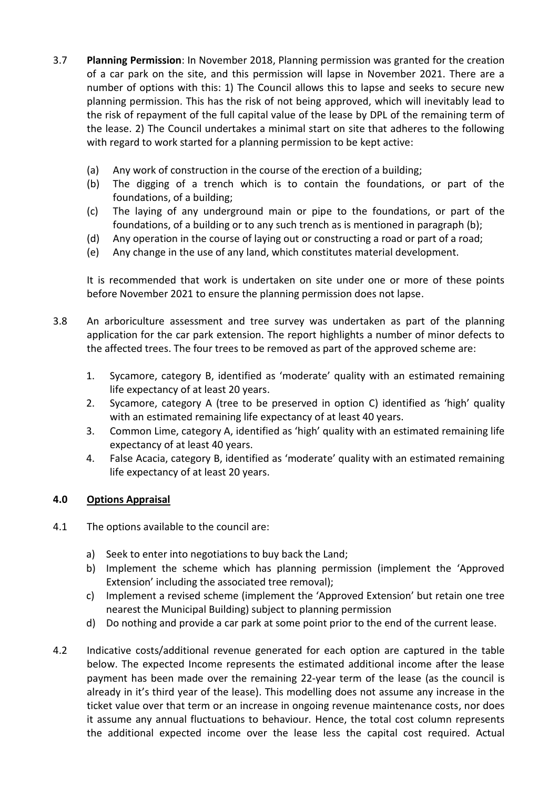- 3.7 **Planning Permission**: In November 2018, Planning permission was granted for the creation of a car park on the site, and this permission will lapse in November 2021. There are a number of options with this: 1) The Council allows this to lapse and seeks to secure new planning permission. This has the risk of not being approved, which will inevitably lead to the risk of repayment of the full capital value of the lease by DPL of the remaining term of the lease. 2) The Council undertakes a minimal start on site that adheres to the following with regard to work started for a planning permission to be kept active:
	- (a) Any work of construction in the course of the erection of a building;
	- (b) The digging of a trench which is to contain the foundations, or part of the foundations, of a building;
	- (c) The laying of any underground main or pipe to the foundations, or part of the foundations, of a building or to any such trench as is mentioned in paragraph (b);
	- (d) Any operation in the course of laying out or constructing a road or part of a road;
	- (e) Any change in the use of any land, which constitutes material development.

It is recommended that work is undertaken on site under one or more of these points before November 2021 to ensure the planning permission does not lapse.

- 3.8 An arboriculture assessment and tree survey was undertaken as part of the planning application for the car park extension. The report highlights a number of minor defects to the affected trees. The four trees to be removed as part of the approved scheme are:
	- 1. Sycamore, category B, identified as 'moderate' quality with an estimated remaining life expectancy of at least 20 years.
	- 2. Sycamore, category A (tree to be preserved in option C) identified as 'high' quality with an estimated remaining life expectancy of at least 40 years.
	- 3. Common Lime, category A, identified as 'high' quality with an estimated remaining life expectancy of at least 40 years.
	- 4. False Acacia, category B, identified as 'moderate' quality with an estimated remaining life expectancy of at least 20 years.

# **4.0 Options Appraisal**

- 4.1 The options available to the council are:
	- a) Seek to enter into negotiations to buy back the Land;
	- b) Implement the scheme which has planning permission (implement the 'Approved Extension' including the associated tree removal);
	- c) Implement a revised scheme (implement the 'Approved Extension' but retain one tree nearest the Municipal Building) subject to planning permission
	- d) Do nothing and provide a car park at some point prior to the end of the current lease.
- 4.2 Indicative costs/additional revenue generated for each option are captured in the table below. The expected Income represents the estimated additional income after the lease payment has been made over the remaining 22-year term of the lease (as the council is already in it's third year of the lease). This modelling does not assume any increase in the ticket value over that term or an increase in ongoing revenue maintenance costs, nor does it assume any annual fluctuations to behaviour. Hence, the total cost column represents the additional expected income over the lease less the capital cost required. Actual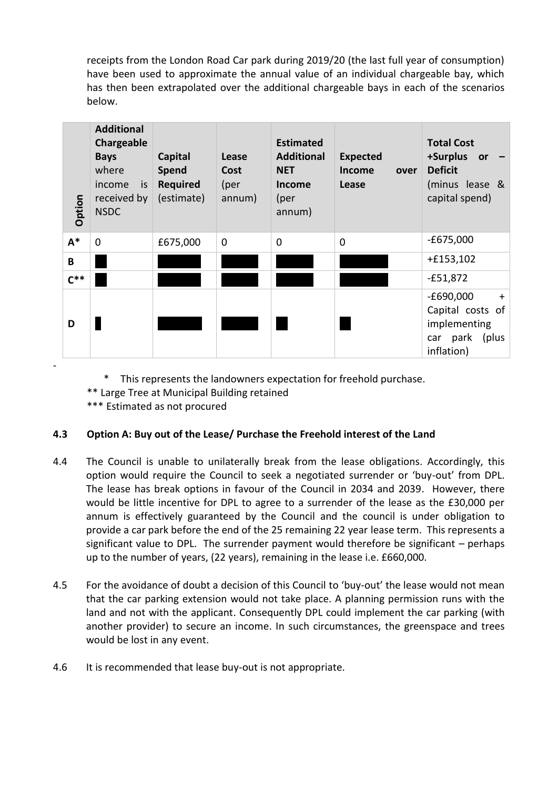receipts from the London Road Car park during 2019/20 (the last full year of consumption) have been used to approximate the annual value of an individual chargeable bay, which has then been extrapolated over the additional chargeable bays in each of the scenarios below.

| Option | <b>Additional</b><br>Chargeable<br><b>Bays</b><br>where<br>income<br>is<br>received by<br><b>NSDC</b> | <b>Capital</b><br>Spend<br><b>Required</b><br>(estimate) | Lease<br>Cost<br>(per<br>annum) | <b>Estimated</b><br><b>Additional</b><br><b>NET</b><br><b>Income</b><br>(per<br>annum) | <b>Expected</b><br>Income<br>over<br>Lease | <b>Total Cost</b><br>+Surplus<br>or<br><b>Deficit</b><br>(minus lease &<br>capital spend) |
|--------|-------------------------------------------------------------------------------------------------------|----------------------------------------------------------|---------------------------------|----------------------------------------------------------------------------------------|--------------------------------------------|-------------------------------------------------------------------------------------------|
| $A^*$  | $\mathbf 0$                                                                                           | £675,000                                                 | $\mathbf 0$                     | $\mathbf 0$                                                                            | $\Omega$                                   | $-£675,000$                                                                               |
| B      |                                                                                                       |                                                          |                                 |                                                                                        |                                            | $+£153,102$                                                                               |
| $C^*$  |                                                                                                       |                                                          |                                 |                                                                                        |                                            | $-£51,872$                                                                                |
| D      |                                                                                                       |                                                          |                                 |                                                                                        |                                            | $-E690,000$<br>$+$<br>Capital costs of<br>implementing<br>(plus<br>car park<br>inflation) |

\* This represents the landowners expectation for freehold purchase.

\*\* Large Tree at Municipal Building retained

\*\*\* Estimated as not procured

-

# **4.3 Option A: Buy out of the Lease/ Purchase the Freehold interest of the Land**

- 4.4 The Council is unable to unilaterally break from the lease obligations. Accordingly, this option would require the Council to seek a negotiated surrender or 'buy-out' from DPL. The lease has break options in favour of the Council in 2034 and 2039. However, there would be little incentive for DPL to agree to a surrender of the lease as the £30,000 per annum is effectively guaranteed by the Council and the council is under obligation to provide a car park before the end of the 25 remaining 22 year lease term. This represents a significant value to DPL. The surrender payment would therefore be significant  $-$  perhaps up to the number of years, (22 years), remaining in the lease i.e. £660,000.
- 4.5 For the avoidance of doubt a decision of this Council to 'buy-out' the lease would not mean that the car parking extension would not take place. A planning permission runs with the land and not with the applicant. Consequently DPL could implement the car parking (with another provider) to secure an income. In such circumstances, the greenspace and trees would be lost in any event.
- 4.6 It is recommended that lease buy-out is not appropriate.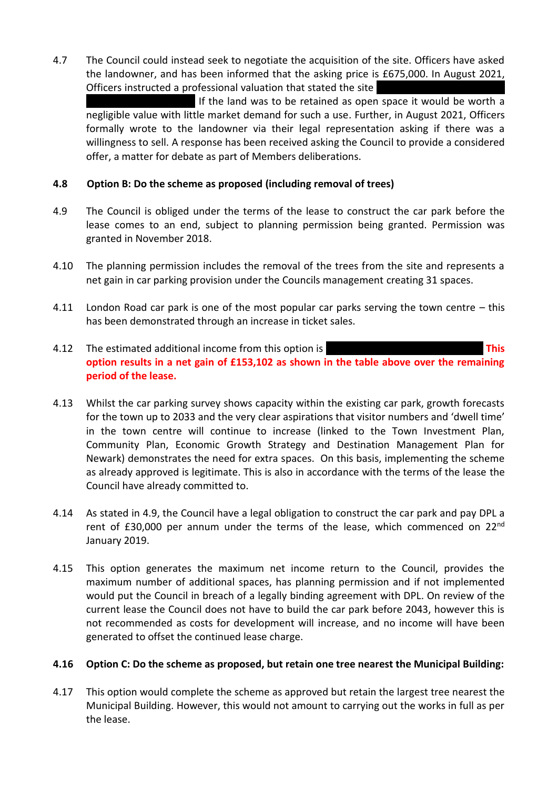4.7 The Council could instead seek to negotiate the acquisition of the site. Officers have asked the landowner, and has been informed that the asking price is £675,000. In August 2021, Officers instructed a professional valuation that stated the site

If the land was to be retained as open space it would be worth a negligible value with little market demand for such a use. Further, in August 2021, Officers formally wrote to the landowner via their legal representation asking if there was a willingness to sell. A response has been received asking the Council to provide a considered offer, a matter for debate as part of Members deliberations.

### **4.8 Option B: Do the scheme as proposed (including removal of trees)**

- 4.9 The Council is obliged under the terms of the lease to construct the car park before the lease comes to an end, subject to planning permission being granted. Permission was granted in November 2018.
- 4.10 The planning permission includes the removal of the trees from the site and represents a net gain in car parking provision under the Councils management creating 31 spaces.
- 4.11 London Road car park is one of the most popular car parks serving the town centre this has been demonstrated through an increase in ticket sales.
- 4.12 The estimated additional income from this option is **EAS EXAMPLE 1998 This option results in a net gain of £153,102 as shown in the table above over the remaining period of the lease.**
- 4.13 Whilst the car parking survey shows capacity within the existing car park, growth forecasts for the town up to 2033 and the very clear aspirations that visitor numbers and 'dwell time' in the town centre will continue to increase (linked to the Town Investment Plan, Community Plan, Economic Growth Strategy and Destination Management Plan for Newark) demonstrates the need for extra spaces. On this basis, implementing the scheme as already approved is legitimate. This is also in accordance with the terms of the lease the Council have already committed to.
- 4.14 As stated in 4.9, the Council have a legal obligation to construct the car park and pay DPL a rent of £30,000 per annum under the terms of the lease, which commenced on 22<sup>nd</sup> January 2019.
- 4.15 This option generates the maximum net income return to the Council, provides the maximum number of additional spaces, has planning permission and if not implemented would put the Council in breach of a legally binding agreement with DPL. On review of the current lease the Council does not have to build the car park before 2043, however this is not recommended as costs for development will increase, and no income will have been generated to offset the continued lease charge.

#### **4.16 Option C: Do the scheme as proposed, but retain one tree nearest the Municipal Building:**

4.17 This option would complete the scheme as approved but retain the largest tree nearest the Municipal Building. However, this would not amount to carrying out the works in full as per the lease.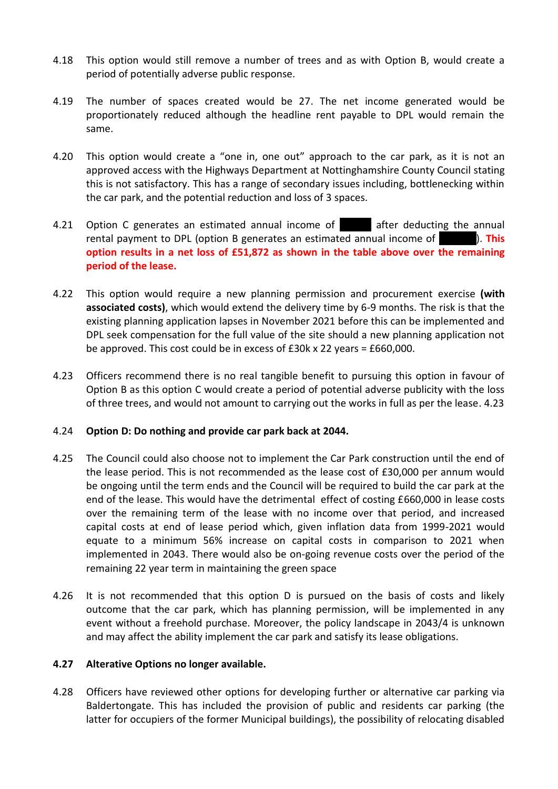- 4.18 This option would still remove a number of trees and as with Option B, would create a period of potentially adverse public response.
- 4.19 The number of spaces created would be 27. The net income generated would be proportionately reduced although the headline rent payable to DPL would remain the same.
- 4.20 This option would create a "one in, one out" approach to the car park, as it is not an approved access with the Highways Department at Nottinghamshire County Council stating this is not satisfactory. This has a range of secondary issues including, bottlenecking within the car park, and the potential reduction and loss of 3 spaces.
- 4.21 Option C generates an estimated annual income of **Earl a** after deducting the annual rental payment to DPL (option B generates an estimated annual income of **18,141).** This **option results in a net loss of £51,872 as shown in the table above over the remaining period of the lease.**
- 4.22 This option would require a new planning permission and procurement exercise **(with associated costs)**, which would extend the delivery time by 6-9 months. The risk is that the existing planning application lapses in November 2021 before this can be implemented and DPL seek compensation for the full value of the site should a new planning application not be approved. This cost could be in excess of £30k x 22 years = £660,000.
- 4.23 Officers recommend there is no real tangible benefit to pursuing this option in favour of Option B as this option C would create a period of potential adverse publicity with the loss of three trees, and would not amount to carrying out the works in full as per the lease. 4.23

#### 4.24 **Option D: Do nothing and provide car park back at 2044.**

- 4.25 The Council could also choose not to implement the Car Park construction until the end of the lease period. This is not recommended as the lease cost of £30,000 per annum would be ongoing until the term ends and the Council will be required to build the car park at the end of the lease. This would have the detrimental effect of costing £660,000 in lease costs over the remaining term of the lease with no income over that period, and increased capital costs at end of lease period which, given inflation data from 1999-2021 would equate to a minimum 56% increase on capital costs in comparison to 2021 when implemented in 2043. There would also be on-going revenue costs over the period of the remaining 22 year term in maintaining the green space
- 4.26 It is not recommended that this option D is pursued on the basis of costs and likely outcome that the car park, which has planning permission, will be implemented in any event without a freehold purchase. Moreover, the policy landscape in 2043/4 is unknown and may affect the ability implement the car park and satisfy its lease obligations.

#### **4.27 Alterative Options no longer available.**

4.28 Officers have reviewed other options for developing further or alternative car parking via Baldertongate. This has included the provision of public and residents car parking (the latter for occupiers of the former Municipal buildings), the possibility of relocating disabled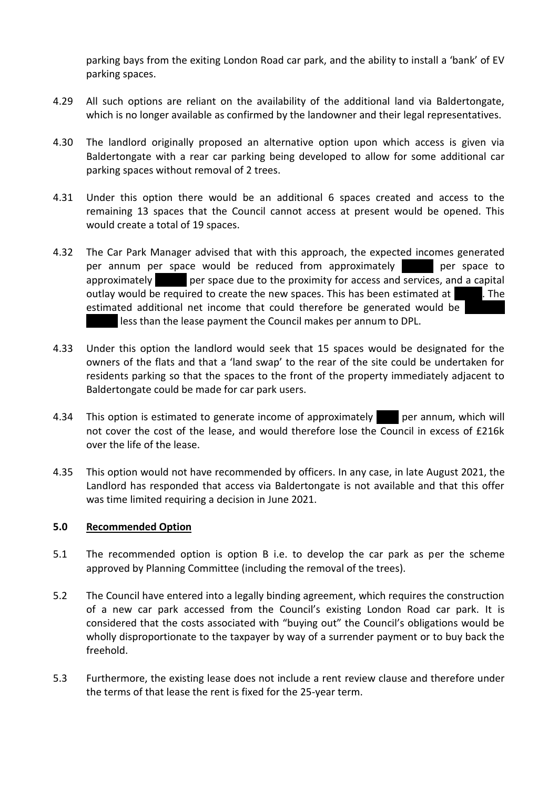parking bays from the exiting London Road car park, and the ability to install a 'bank' of EV parking spaces.

- 4.29 All such options are reliant on the availability of the additional land via Baldertongate, which is no longer available as confirmed by the landowner and their legal representatives.
- 4.30 The landlord originally proposed an alternative option upon which access is given via Baldertongate with a rear car parking being developed to allow for some additional car parking spaces without removal of 2 trees.
- 4.31 Under this option there would be an additional 6 spaces created and access to the remaining 13 spaces that the Council cannot access at present would be opened. This would create a total of 19 spaces.
- 4.32 The Car Park Manager advised that with this approach, the expected incomes generated per annum per space would be reduced from approximately **1963 per space to** approximately **the per space due to the proximity for access and services, and a capital** outlay would be required to create the new spaces. This has been estimated at  $\overline{1}$ . The estimated additional net income that could therefore be generated would be less than the lease payment the Council makes per annum to DPL.
- 4.33 Under this option the landlord would seek that 15 spaces would be designated for the owners of the flats and that a 'land swap' to the rear of the site could be undertaken for residents parking so that the spaces to the front of the property immediately adjacent to Baldertongate could be made for car park users.
- 4.34 This option is estimated to generate income of approximately energy per annum, which will not cover the cost of the lease, and would therefore lose the Council in excess of £216k over the life of the lease.
- 4.35 This option would not have recommended by officers. In any case, in late August 2021, the Landlord has responded that access via Baldertongate is not available and that this offer was time limited requiring a decision in June 2021.

#### **5.0 Recommended Option**

- 5.1 The recommended option is option B i.e. to develop the car park as per the scheme approved by Planning Committee (including the removal of the trees).
- 5.2 The Council have entered into a legally binding agreement, which requires the construction of a new car park accessed from the Council's existing London Road car park. It is considered that the costs associated with "buying out" the Council's obligations would be wholly disproportionate to the taxpayer by way of a surrender payment or to buy back the freehold.
- 5.3 Furthermore, the existing lease does not include a rent review clause and therefore under the terms of that lease the rent is fixed for the 25-year term.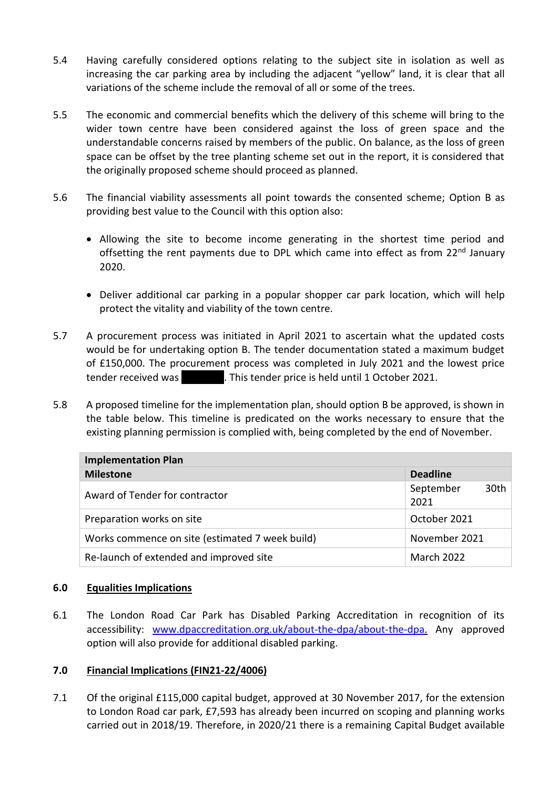- 5.4 Having carefully considered options relating to the subject site in isolation as well as increasing the car parking area by including the adjacent "yellow" land, it is clear that all variations of the scheme include the removal of all or some of the trees.
- 5.5 The economic and commercial benefits which the delivery of this scheme will bring to the wider town centre have been considered against the loss of green space and the understandable concerns raised by members of the public. On balance, as the loss of green space can be offset by the tree planting scheme set out in the report, it is considered that the originally proposed scheme should proceed as planned.
- 5.6 The financial viability assessments all point towards the consented scheme; Option B as providing best value to the Council with this option also:
	- Allowing the site to become income generating in the shortest time period and offsetting the rent payments due to DPL which came into effect as from 22<sup>nd</sup> January 2020.
	- Deliver additional car parking in a popular shopper car park location, which will help protect the vitality and viability of the town centre.
- 5.7 A procurement process was initiated in April 2021 to ascertain what the updated costs would be for undertaking option B. The tender documentation stated a maximum budget of £150,000. The procurement process was completed in July 2021 and the lowest price tender received was **1246.000. This tender price is held until 1 October 2021.**
- 5.8 A proposed timeline for the implementation plan, should option B be approved, is shown in the table below. This timeline is predicated on the works necessary to ensure that the existing planning permission is complied with, being completed by the end of November.

| <b>Implementation Plan</b>                      |                   |      |  |  |  |  |
|-------------------------------------------------|-------------------|------|--|--|--|--|
| <b>Milestone</b>                                | <b>Deadline</b>   |      |  |  |  |  |
| Award of Tender for contractor                  | September<br>2021 | 30th |  |  |  |  |
| Preparation works on site                       | October 2021      |      |  |  |  |  |
| Works commence on site (estimated 7 week build) | November 2021     |      |  |  |  |  |
| Re-launch of extended and improved site         | March 2022        |      |  |  |  |  |

# **6.0 Equalities Implications**

6.1 The London Road Car Park has Disabled Parking Accreditation in recognition of its accessibility: [www.dpaccreditation.org.uk/about-the-dpa/about-the-dpa.](http://www.dpaccreditation.org.uk/about-the-dpa/about-the-dpa) Any approved option will also provide for additional disabled parking.

#### **7.0 Financial Implications (FIN21-22/4006)**

7.1 Of the original £115,000 capital budget, approved at 30 November 2017, for the extension to London Road car park, £7,593 has already been incurred on scoping and planning works carried out in 2018/19. Therefore, in 2020/21 there is a remaining Capital Budget available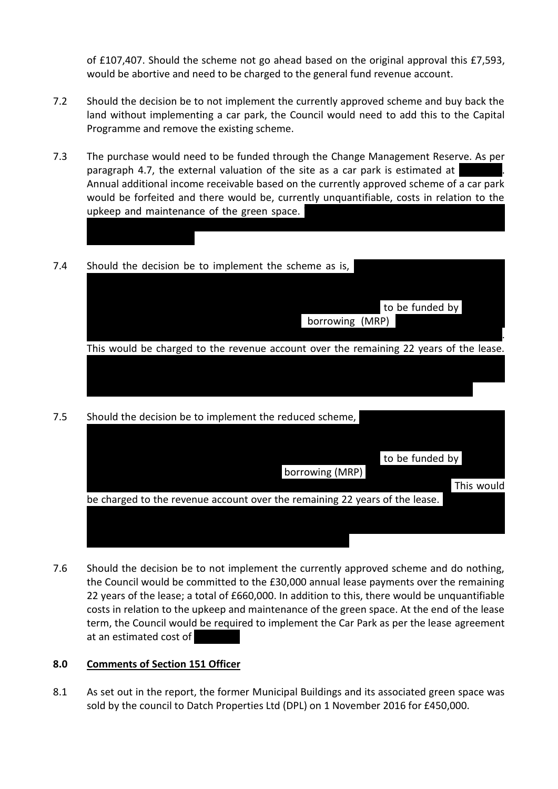of £107,407. Should the scheme not go ahead based on the original approval this £7,593, would be abortive and need to be charged to the general fund revenue account.

- 7.2 Should the decision be to not implement the currently approved scheme and buy back the land without implementing a car park, the Council would need to add this to the Capital Programme and remove the existing scheme.
- 7.3 The purchase would need to be funded through the Change Management Reserve. As per paragraph 4.7, the external valuation of the site as a car park is estimated at Annual additional income receivable based on the currently approved scheme of a car park would be forfeited and there would be, currently unquantifiable, costs in relation to the upkeep and maintenance of the green space.
- 7.4 Should the decision be to implement the scheme as is,

| to be funded by                                                                        |  |
|----------------------------------------------------------------------------------------|--|
| borrowing (MRP)                                                                        |  |
|                                                                                        |  |
| This would be charged to the revenue account over the remaining 22 years of the lease. |  |
|                                                                                        |  |
|                                                                                        |  |
|                                                                                        |  |

the Change Management Reserve to accommodate the purchase and would leave circa

7.5 Should the decision be to implement the reduced scheme,

|                                                                             | to be funded by |            |
|-----------------------------------------------------------------------------|-----------------|------------|
| borrowing (MRP)                                                             |                 |            |
|                                                                             |                 | This would |
| be charged to the revenue account over the remaining 22 years of the lease. |                 |            |
|                                                                             |                 |            |
|                                                                             |                 |            |
|                                                                             |                 |            |

7.6 Should the decision be to not implement the currently approved scheme and do nothing, the Council would be committed to the £30,000 annual lease payments over the remaining 22 years of the lease; a total of £660,000. In addition to this, there would be unquantifiable costs in relation to the upkeep and maintenance of the green space. At the end of the lease term, the Council would be required to implement the Car Park as per the lease agreement at an estimated cost of

#### **8.0 Comments of Section 151 Officer**

8.1 As set out in the report, the former Municipal Buildings and its associated green space was sold by the council to Datch Properties Ltd (DPL) on 1 November 2016 for £450,000.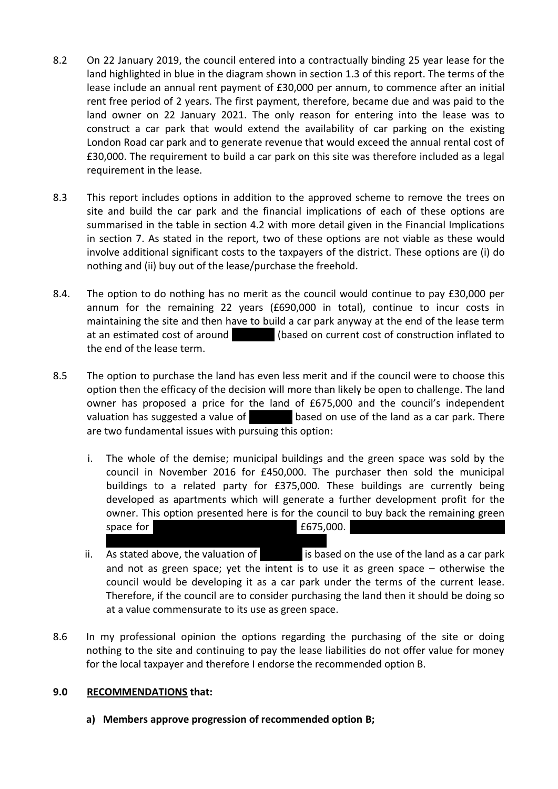- 8.2 On 22 January 2019, the council entered into a contractually binding 25 year lease for the land highlighted in blue in the diagram shown in section 1.3 of this report. The terms of the lease include an annual rent payment of £30,000 per annum, to commence after an initial rent free period of 2 years. The first payment, therefore, became due and was paid to the land owner on 22 January 2021. The only reason for entering into the lease was to construct a car park that would extend the availability of car parking on the existing London Road car park and to generate revenue that would exceed the annual rental cost of £30,000. The requirement to build a car park on this site was therefore included as a legal requirement in the lease.
- 8.3 This report includes options in addition to the approved scheme to remove the trees on site and build the car park and the financial implications of each of these options are summarised in the table in section 4.2 with more detail given in the Financial Implications in section 7. As stated in the report, two of these options are not viable as these would involve additional significant costs to the taxpayers of the district. These options are (i) do nothing and (ii) buy out of the lease/purchase the freehold.
- 8.4. The option to do nothing has no merit as the council would continue to pay £30,000 per annum for the remaining 22 years (£690,000 in total), continue to incur costs in maintaining the site and then have to build a car park anyway at the end of the lease term at an estimated cost of around **A100 (based on current cost of construction inflated to** the end of the lease term.
- 8.5 The option to purchase the land has even less merit and if the council were to choose this option then the efficacy of the decision will more than likely be open to challenge. The land owner has proposed a price for the land of £675,000 and the council's independent valuation has suggested a value of  $\overline{5}$  based on use of the land as a car park. There are two fundamental issues with pursuing this option:
	- i. The whole of the demise; municipal buildings and the green space was sold by the council in November 2016 for £450,000. The purchaser then sold the municipal buildings to a related party for £375,000. These buildings are currently being developed as apartments which will generate a further development profit for the owner. This option presented here is for the council to buy back the remaining green space for  $\sim$   $\sim$  5000.
	- ii. As stated above, the valuation of  $\overline{500}$  is based on the use of the land as a car park and not as green space; yet the intent is to use it as green space – otherwise the council would be developing it as a car park under the terms of the current lease. Therefore, if the council are to consider purchasing the land then it should be doing so at a value commensurate to its use as green space.
- 8.6 In my professional opinion the options regarding the purchasing of the site or doing nothing to the site and continuing to pay the lease liabilities do not offer value for money for the local taxpayer and therefore I endorse the recommended option B.

# **9.0 RECOMMENDATIONS that:**

**a) Members approve progression of recommended option B;**